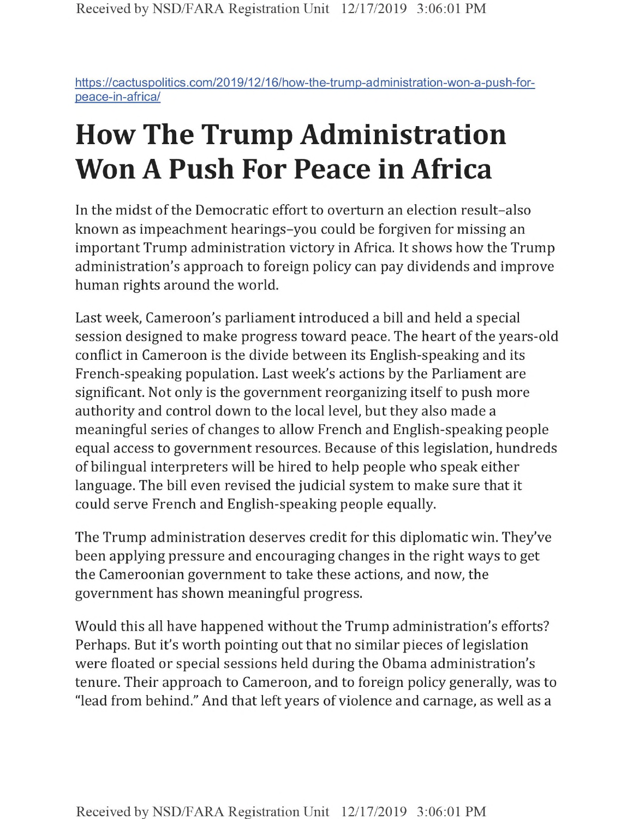https://cactuspolitics.com/2019/12/16/how-the-trump-administration-won-a-push-forpeace-in-africa/

## **How The Trump Administration Won A Push For Peace in Africa**

In the midst of the Democratic effort to overturn an election result-also known as impeachment hearings-you could be forgiven for missing an important Trump administration victory in Africa. It shows how the Trump administration's approach to foreign policy can pay dividends and improve human rights around the world.

Last week, Cameroon's parliament introduced a bill and held a special session designed to make progress toward peace. The heart of the years-old conflict in Cameroon is the divide between its English-speaking and its French-speaking population. Last week's actions by the Parliament are significant. Not only is the government reorganizing itself to push more authority and control down to the local level, but they also made a meaningful series of changes to allow French and English-speaking people equal access to government resources. Because of this legislation, hundreds of bilingual interpreters will be hired to help people who speak either language. The bill even revised the judicial system to make sure that it could serve French and English-speaking people equally.

The Trump administration deserves credit for this diplomatic win. They've been applying pressure and encouraging changes in the right ways to get the Cameroonian government to take these actions, and now, the government has shown meaningful progress.

Would this all have happened without the Trump administration's efforts? Perhaps. But it's worth pointing out that no similar pieces of legislation were floated or special sessions held during the Obama administration's tenure. Their approach to Cameroon, and to foreign policy generally, was to "lead from behind." And that left years of violence and carnage, as well as a